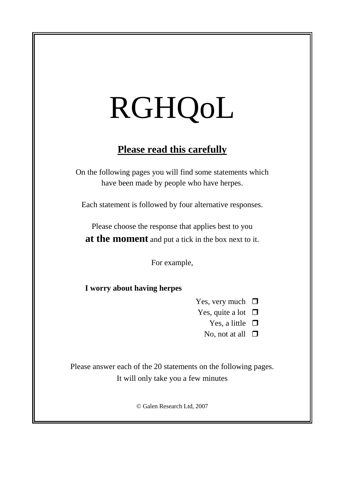# RGHQoL

## **Please read this carefully**

On the following pages you will find some statements which have been made by people who have herpes.

Each statement is followed by four alternative responses.

Please choose the response that applies best to you **at the moment** and put a tick in the box next to it.

For example,

**I worry about having herpes**

Yes, very much  $\Box$ 

- Yes, quite a lot  $\Box$ 
	- Yes, a little  $\Box$
	- No, not at all  $\square$

Please answer each of the 20 statements on the following pages. It will only take you a few minutes

© Galen Research Ltd, 2007